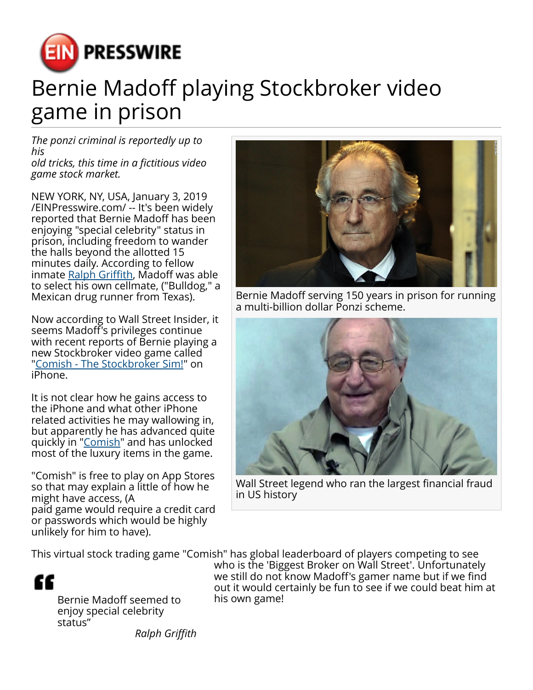

## Bernie Madoff playing Stockbroker video game in prison

*The ponzi criminal is reportedly up to his old tricks, this time in a fictitious video*

*game stock market.*

NEW YORK, NY, USA, January 3, 2019 [/EINPresswire.com/](http://www.einpresswire.com) -- It's been widely reported that Bernie Madoff has been enjoying "special celebrity" status in prison, including freedom to wander the halls beyond the allotted 15 minutes daily. According to fellow inmate [Ralph Griffith,](https://www.hollywoodreporter.com/news/fellow-inmate-details-bernie-madoffs-time-behind-bars-1101247) Madoff was able to select his own cellmate, ("Bulldog," a Mexican drug runner from Texas).

Now according to Wall Street Insider, it seems Madoff's privileges continue with recent reports of Bernie playing a new Stockbroker video game called "[Comish - The Stockbroker Sim!"](https://oppositelockgames.com/game/comish) on iPhone.

It is not clear how he gains access to the iPhone and what other iPhone related activities he may wallowing in, but apparently he has advanced quite quickly in ["Comish](https://oppositelockgames.com/game/comish)" and has unlocked most of the luxury items in the game.

"Comish" is free to play on App Stores so that may explain a little of how he might have access, (A paid game would require a credit card or passwords which would be highly unlikely for him to have).



Bernie Madoff serving 150 years in prison for running a multi-billion dollar Ponzi scheme.



Wall Street legend who ran the largest financial fraud in US history

This virtual stock trading game "Comish" has global leaderboard of players competing to see



Bernie Madoff seemed to enjoy special celebrity status"

who is the 'Biggest Broker on Wall Street'. Unfortunately we still do not know Madoff's gamer name but if we find out it would certainly be fun to see if we could beat him at his own game!

*Ralph Griffith*